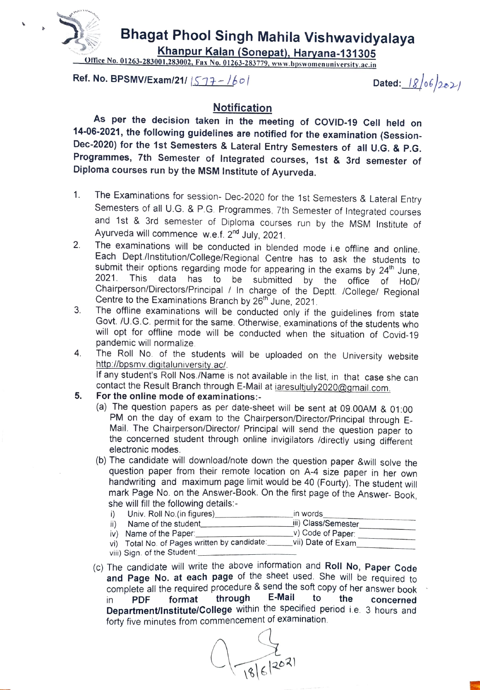

## Bhagat Phool Singh Mahila Vishwavidyalaya

Khanpur Kalan (Sonepat), Haryana-131305<br>Office No. 01263-283001,283002, Fax No. 01263-283779, www.bpswomenuniversity.ac.in

Ref. No. BPSMV/Exam/21/  $|577 - 160|$  Dated:  $|8/06|20\rangle$ 

## Notification

As per the decision taken in the meeting of COVID-19 Cell held on 14-06-2021, the following guidelines are notified for the examination (Session-Dec-2020) for the 1st Semesters & Lateral Entry Semesters of all U.G. & P.G. Programmes, 7th Semester of Integrated courses, 1st & 3rd semester of Diploma courses run by the MSM Institute of Ayurveda.

- 1. The Examinations for session- Dec-2020 for the 1st Semesters & Lateral Entry Semesters of all U.G. & P.G. Programmes, 7th Semester of Integrated courses and 1st & 3rd semester of Diploma courses run by the MSM Institute of Ayurveda will commence w.e.f.  $2<sup>nd</sup>$  July, 2021.
- 2. The examinations will be conducted in blended mode i.e offline and online. Each Dept./Institution/College/Regional Centre has to ask the students to submit their options regarding mode for appearing in the exams by 24<sup>th</sup> June<br>2021. This data has to be submitted by the office of HoD This data has to be submitted by the office of HoD/ Chairperson/Directors/Principal / In charge of the Deptt. /College/ Regional Centre to the Examinations Branch by 26" June, 2021.
- The offline examinations will be conducted only if the guidelines from state Govt./U.G.C. permit for the same. Otherwise, examinations of the students who will opt for offline mode will be conducted when the situation of Covid-19 pandemic will normalize 3.
- 4 The Roll No. of the students will be uploaded on the University website http://bpsmv.digitaluniversity.ac/. If any student's Roll Nos./Name is not available in the list, in that case she can contact the Result Branch through E-Mail at iaresultjuly2020@gmail.com.
- 5. For the online mode of examinations:
	- (a) The question papers as per date-sheet will be sent at 09.00AM & 01:00 PM on the day of exam to the Chairperson/Director/Principal through E-Mail. The Chairperson/Director/ Principal will send the question paper to the concerned student through online invigilators /directly using different electronic modes.
	- (b) The candidate will download/note down the question paper &will solve the question paper from their remote location on A-4 size paper in her own handwriting and maximum page limit would be 40 (Fourty). The student will mark Page No. on the Answer-Book. On the first page of the Answer- Book, she will fill the following details:

|                             | Univ. Roll No. (in figures)                  | in words            |
|-----------------------------|----------------------------------------------|---------------------|
|                             | Name of the student_                         | iii) Class/Semester |
|                             | iv) Name of the Paper:                       | _v) Code of Paper:  |
|                             | vi) Total No. of Pages written by candidate: | vii) Date of Exam   |
| viii) Sign. of the Student: |                                              |                     |

(c) The candidate will write the above information and Roll No, Paper Code and Page No. at each page of the sheet used. She will be required to complete all the required procedure & send the soft copy of her answer book in PDF Department/Institute/College within the specified period i.e. 3 hours and forty five minutes from commencement of examination. format through E-Mail to the concerned